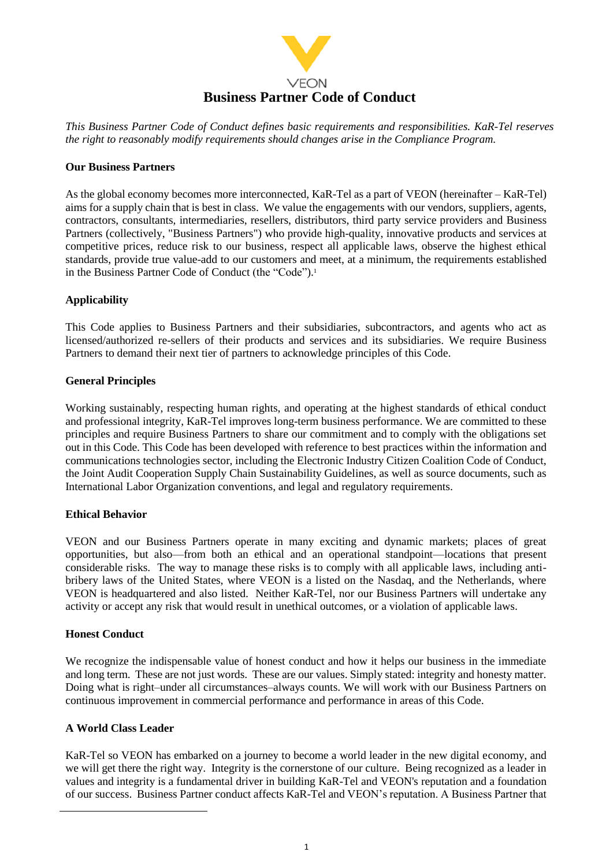

*This Business Partner Code of Conduct defines basic requirements and responsibilities. KaR-Tel reserves the right to reasonably modify requirements should changes arise in the Compliance Program.*

#### **Our Business Partners**

As the global economy becomes more interconnected, KaR-Tel as a part of VEON (hereinafter – KaR-Tel) aims for a supply chain that is best in class. We value the engagements with our vendors, suppliers, agents, contractors, consultants, intermediaries, resellers, distributors, third party service providers and Business Partners (collectively, "Business Partners") who provide high-quality, innovative products and services at competitive prices, reduce risk to our business, respect all applicable laws, observe the highest ethical standards, provide true value-add to our customers and meet, at a minimum, the requirements established in the Business Partner Code of Conduct (the "Code"). 1

### **Applicability**

This Code applies to Business Partners and their subsidiaries, subcontractors, and agents who act as licensed/authorized re-sellers of their products and services and its subsidiaries. We require Business Partners to demand their next tier of partners to acknowledge principles of this Code.

### **General Principles**

Working sustainably, respecting human rights, and operating at the highest standards of ethical conduct and professional integrity, KaR-Tel improves long-term business performance. We are committed to these principles and require Business Partners to share our commitment and to comply with the obligations set out in this Code. This Code has been developed with reference to best practices within the information and communications technologies sector, including the Electronic Industry Citizen Coalition Code of Conduct, the Joint Audit Cooperation Supply Chain Sustainability Guidelines, as well as source documents, such as International Labor Organization conventions, and legal and regulatory requirements.

### **Ethical Behavior**

VEON and our Business Partners operate in many exciting and dynamic markets; places of great opportunities, but also—from both an ethical and an operational standpoint—locations that present considerable risks. The way to manage these risks is to comply with all applicable laws, including antibribery laws of the United States, where VEON is a listed on the Nasdaq, and the Netherlands, where VEON is headquartered and also listed. Neither KaR-Tel, nor our Business Partners will undertake any activity or accept any risk that would result in unethical outcomes, or a violation of applicable laws.

### **Honest Conduct**

We recognize the indispensable value of honest conduct and how it helps our business in the immediate and long term. These are not just words. These are our values. Simply stated: integrity and honesty matter. Doing what is right–under all circumstances–always counts. We will work with our Business Partners on continuous improvement in commercial performance and performance in areas of this Code.

### **A World Class Leader**

-

KaR-Tel so VEON has embarked on a journey to become a world leader in the new digital economy, and we will get there the right way. Integrity is the cornerstone of our culture. Being recognized as a leader in values and integrity is a fundamental driver in building KaR-Tel and VEON's reputation and a foundation of our success. Business Partner conduct affects KaR-Tel and VEON's reputation. A Business Partner that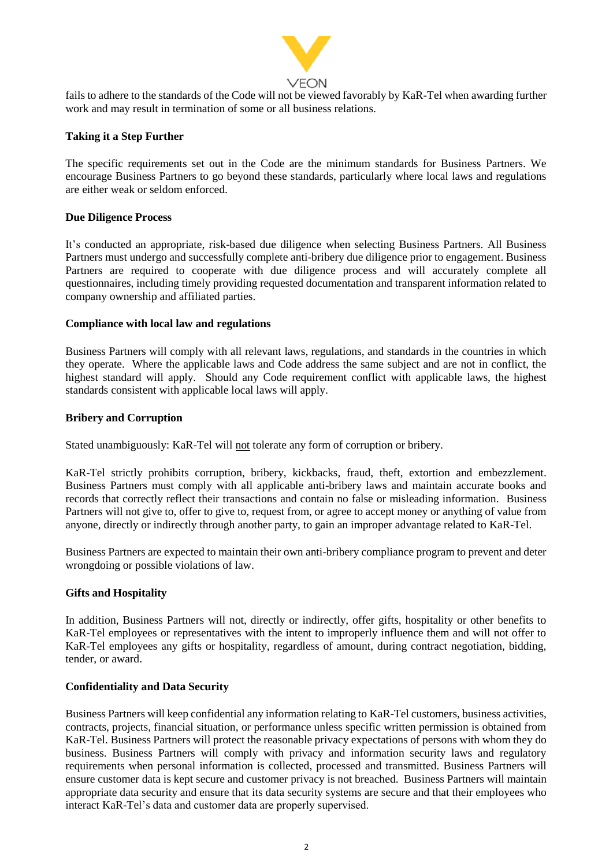

# VEON

fails to adhere to the standards of the Code will not be viewed favorably by KaR-Tel when awarding further work and may result in termination of some or all business relations.

# **Taking it a Step Further**

The specific requirements set out in the Code are the minimum standards for Business Partners. We encourage Business Partners to go beyond these standards, particularly where local laws and regulations are either weak or seldom enforced.

# **Due Diligence Process**

It's conducted an appropriate, risk-based due diligence when selecting Business Partners. All Business Partners must undergo and successfully complete anti-bribery due diligence prior to engagement. Business Partners are required to cooperate with due diligence process and will accurately complete all questionnaires, including timely providing requested documentation and transparent information related to company ownership and affiliated parties.

# **Compliance with local law and regulations**

Business Partners will comply with all relevant laws, regulations, and standards in the countries in which they operate. Where the applicable laws and Code address the same subject and are not in conflict, the highest standard will apply. Should any Code requirement conflict with applicable laws, the highest standards consistent with applicable local laws will apply.

# **Bribery and Corruption**

Stated unambiguously: KaR-Tel will not tolerate any form of corruption or bribery.

KaR-Tel strictly prohibits corruption, bribery, kickbacks, fraud, theft, extortion and embezzlement. Business Partners must comply with all applicable anti-bribery laws and maintain accurate books and records that correctly reflect their transactions and contain no false or misleading information. Business Partners will not give to, offer to give to, request from, or agree to accept money or anything of value from anyone, directly or indirectly through another party, to gain an improper advantage related to KaR-Tel.

Business Partners are expected to maintain their own anti-bribery compliance program to prevent and deter wrongdoing or possible violations of law.

# **Gifts and Hospitality**

In addition, Business Partners will not, directly or indirectly, offer gifts, hospitality or other benefits to KaR-Tel employees or representatives with the intent to improperly influence them and will not offer to KaR-Tel employees any gifts or hospitality, regardless of amount, during contract negotiation, bidding, tender, or award.

### **Confidentiality and Data Security**

Business Partners will keep confidential any information relating to KaR-Tel customers, business activities, contracts, projects, financial situation, or performance unless specific written permission is obtained from KaR-Tel. Business Partners will protect the reasonable privacy expectations of persons with whom they do business. Business Partners will comply with privacy and information security laws and regulatory requirements when personal information is collected, processed and transmitted. Business Partners will ensure customer data is kept secure and customer privacy is not breached. Business Partners will maintain appropriate data security and ensure that its data security systems are secure and that their employees who interact KaR-Tel's data and customer data are properly supervised.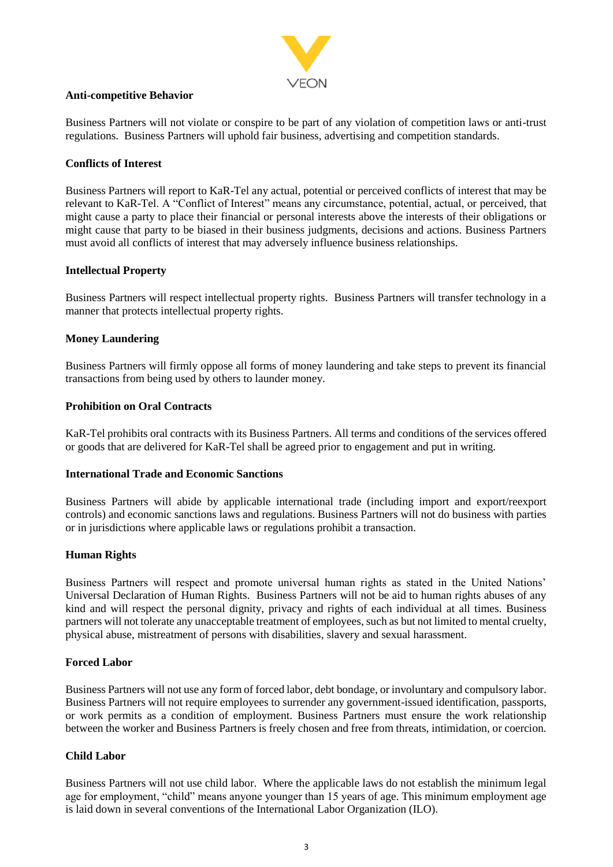

### **Anti-competitive Behavior**

Business Partners will not violate or conspire to be part of any violation of competition laws or anti-trust regulations. Business Partners will uphold fair business, advertising and competition standards.

### **Conflicts of Interest**

Business Partners will report to KaR-Tel any actual, potential or perceived conflicts of interest that may be relevant to KaR-Tel. A "Conflict of Interest" means any circumstance, potential, actual, or perceived, that might cause a party to place their financial or personal interests above the interests of their obligations or might cause that party to be biased in their business judgments, decisions and actions. Business Partners must avoid all conflicts of interest that may adversely influence business relationships.

# **Intellectual Property**

Business Partners will respect intellectual property rights. Business Partners will transfer technology in a manner that protects intellectual property rights.

# **Money Laundering**

Business Partners will firmly oppose all forms of money laundering and take steps to prevent its financial transactions from being used by others to launder money.

### **Prohibition on Oral Contracts**

KaR-Tel prohibits oral contracts with its Business Partners. All terms and conditions of the services offered or goods that are delivered for KaR-Tel shall be agreed prior to engagement and put in writing.

### **International Trade and Economic Sanctions**

Business Partners will abide by applicable international trade (including import and export/reexport controls) and economic sanctions laws and regulations. Business Partners will not do business with parties or in jurisdictions where applicable laws or regulations prohibit a transaction.

### **Human Rights**

Business Partners will respect and promote universal human rights as stated in the United Nations' Universal Declaration of Human Rights. Business Partners will not be aid to human rights abuses of any kind and will respect the personal dignity, privacy and rights of each individual at all times. Business partners will not tolerate any unacceptable treatment of employees, such as but not limited to mental cruelty, physical abuse, mistreatment of persons with disabilities, slavery and sexual harassment.

### **Forced Labor**

Business Partners will not use any form of forced labor, debt bondage, or involuntary and compulsory labor. Business Partners will not require employees to surrender any government-issued identification, passports, or work permits as a condition of employment. Business Partners must ensure the work relationship between the worker and Business Partners is freely chosen and free from threats, intimidation, or coercion.

### **Child Labor**

Business Partners will not use child labor. Where the applicable laws do not establish the minimum legal age for employment, "child" means anyone younger than 15 years of age. This minimum employment age is laid down in several conventions of the International Labor Organization (ILO).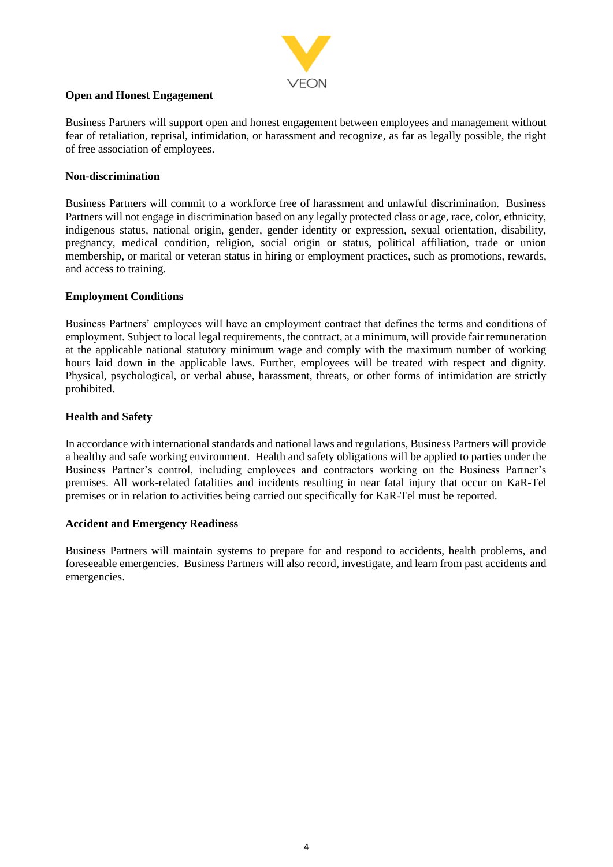

### **Open and Honest Engagement**

Business Partners will support open and honest engagement between employees and management without fear of retaliation, reprisal, intimidation, or harassment and recognize, as far as legally possible, the right of free association of employees.

### **Non-discrimination**

Business Partners will commit to a workforce free of harassment and unlawful discrimination. Business Partners will not engage in discrimination based on any legally protected class or age, race, color, ethnicity, indigenous status, national origin, gender, gender identity or expression, sexual orientation, disability, pregnancy, medical condition, religion, social origin or status, political affiliation, trade or union membership, or marital or veteran status in hiring or employment practices, such as promotions, rewards, and access to training.

# **Employment Conditions**

Business Partners' employees will have an employment contract that defines the terms and conditions of employment. Subject to local legal requirements, the contract, at a minimum, will provide fair remuneration at the applicable national statutory minimum wage and comply with the maximum number of working hours laid down in the applicable laws. Further, employees will be treated with respect and dignity. Physical, psychological, or verbal abuse, harassment, threats, or other forms of intimidation are strictly prohibited.

# **Health and Safety**

In accordance with international standards and national laws and regulations, Business Partners will provide a healthy and safe working environment. Health and safety obligations will be applied to parties under the Business Partner's control, including employees and contractors working on the Business Partner's premises. All work-related fatalities and incidents resulting in near fatal injury that occur on KaR-Tel premises or in relation to activities being carried out specifically for KaR-Tel must be reported.

### **Accident and Emergency Readiness**

Business Partners will maintain systems to prepare for and respond to accidents, health problems, and foreseeable emergencies. Business Partners will also record, investigate, and learn from past accidents and emergencies.